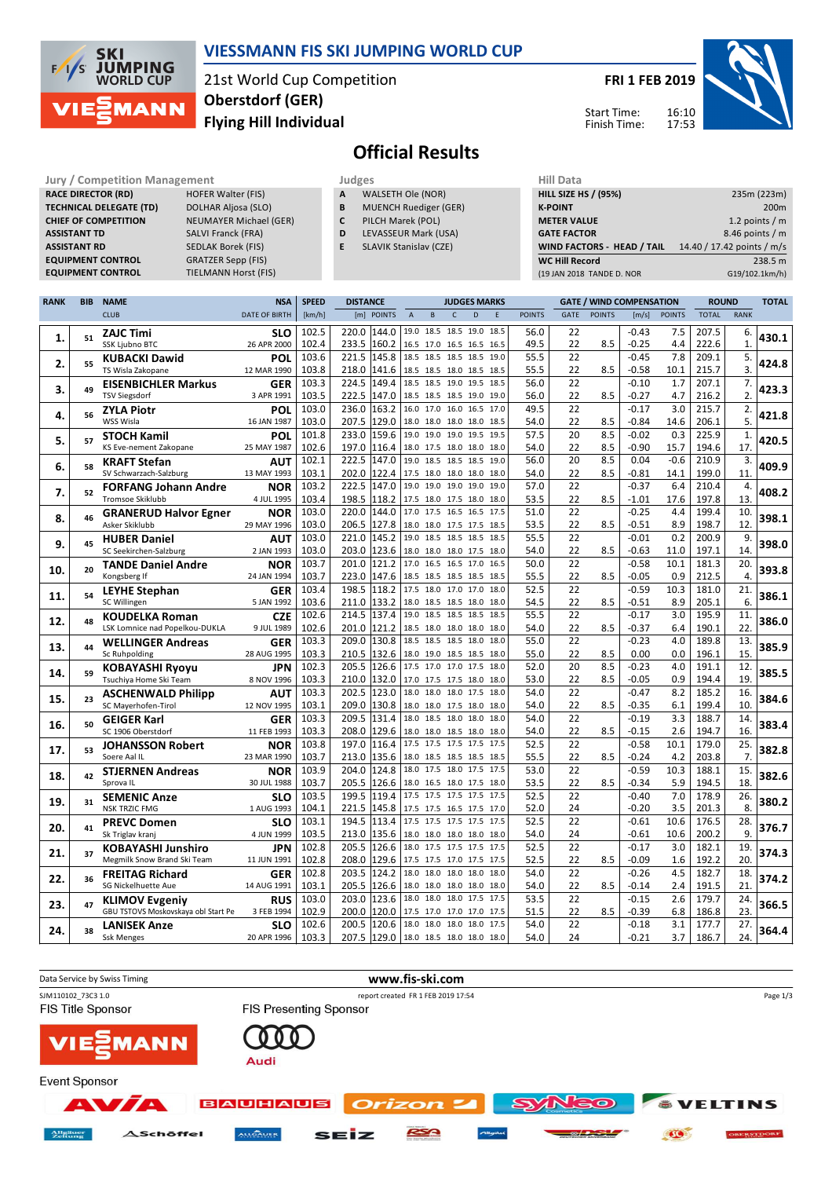

## **VIESSMANN FIS SKI JUMPING WORLD CUP**

21st World Cup Competition **Flying Hill Individual Oberstdorf (GER)**

**FRI 1 FEB 2019**

Start Time: Finish Time:



# **Official Results**

**RACE DIRECTOR (RD) TECHNICAL DELEGATE (TD)** DOLHAR Aljosa (SLO) **CHIEF OF COMPETITION** NEUMAYER Michael (GER) **ASSISTANT TD** SALVI Franck (FRA) **ASSISTANT RD** SEDLAK Borek (FIS)<br>**EQUIPMENT CONTROL** GRATZER Sepp (FIS) **EQUIPMENT CONTROL**<br>**EQUIPMENT CONTROL** 

**Jury / Competition Management Judges Hill Data**<br> **RACE DIRECTOR (RD)** HOFER Walter (FIS) **A** WALSETH Ole (NOR) **HILL SIZE H TIELMANN Horst (FIS)** 

| . .<br>× | × | . . |  |
|----------|---|-----|--|

- **A** WALSETH Ole (NOR) **B** MUENCH Ruediger (GER)
- **C** PILCH Marek (POL)
- **D** LEVASSEUR Mark (USA)
- **E** SLAVIK Stanislav (CZE)

| <b>HILL SIZE HS / (95%)</b>       | 235m (223m)                |
|-----------------------------------|----------------------------|
| <b>K-POINT</b>                    | 200 <sub>m</sub>           |
| <b>METER VALUE</b>                | 1.2 points $/m$            |
| <b>GATE FACTOR</b>                | 8.46 points / m            |
| <b>WIND FACTORS - HEAD / TAIL</b> | 14.40 / 17.42 points / m/s |
| <b>WC Hill Record</b>             | 238.5 m                    |
| (19 JAN 2018 TANDE D. NOR         | G19/102.1km/h)             |

| RANK | <b>BIB</b> | <b>NAME</b><br><b>NSA</b>                               |                          | <b>SPEED</b>   | <b>DISTANCE</b><br><b>JUDGES MARKS</b> |                                                 |              |   |      |               | <b>GATE / WIND COMPENSATION</b> |               |                  | <b>ROUND</b>  |                | <b>TOTAL</b> |       |
|------|------------|---------------------------------------------------------|--------------------------|----------------|----------------------------------------|-------------------------------------------------|--------------|---|------|---------------|---------------------------------|---------------|------------------|---------------|----------------|--------------|-------|
|      |            | <b>CLUB</b>                                             | <b>DATE OF BIRTH</b>     | [km/h]         | [m] POINTS                             | $\overline{A}$<br>$\mathsf B$                   | $\mathsf{C}$ | D | E    | <b>POINTS</b> | GATE                            | <b>POINTS</b> | [m/s]            | <b>POINTS</b> | <b>TOTAL</b>   | <b>RANK</b>  |       |
|      |            | <b>ZAJC Timi</b>                                        | <b>SLO</b>               | 102.5          | 220.0<br>144.0                         | 19.0 18.5 18.5 19.0 18.5                        |              |   |      | 56.0          | 22                              |               | $-0.43$          | 7.5           | 207.5          | 6.           |       |
| 1.   | 51         | <b>SSK Ljubno BTC</b>                                   | 26 APR 2000              | 102.4          | 233.5<br>160.2                         | 16.5 17.0 16.5 16.5 16.5                        |              |   |      | 49.5          | 22                              | 8.5           | $-0.25$          | 4.4           | 222.6          | $\mathbf{1}$ | 430.1 |
|      |            | <b>KUBACKI Dawid</b>                                    | POL                      | 103.6          | 221.5<br>145.8                         | 18.5 18.5 18.5 18.5                             |              |   | 19.0 | 55.5          | 22                              |               | $-0.45$          | 7.8           | 209.1          | 5.           |       |
| 2.   | 55         | TS Wisla Zakopane                                       | 12 MAR 1990              | 103.8          | 218.0<br>141.6                         | 18.5 18.5 18.0 18.5 18.5                        |              |   |      | 55.5          | 22                              | 8.5           | $-0.58$          | 10.1          | 215.7          | 3.           | 424.8 |
| 3.   | 49         | <b>EISENBICHLER Markus</b>                              | <b>GER</b>               | 103.3          | 224.5<br>149.4                         | 18.5 18.5 19.0 19.5                             |              |   | 18.5 | 56.0          | 22                              |               | $-0.10$          | 1.7           | 207.1          | 7.           | 423.3 |
|      |            | <b>TSV Siegsdorf</b>                                    | 3 APR 1991               | 103.5          | 222.5<br>147.0                         | 18.5 18.5 18.5 19.0 19.0                        |              |   |      | 56.0          | 22                              | 8.5           | $-0.27$          | 4.7           | 216.2          | 2.           |       |
| 4.   | 56         | <b>ZYLA Piotr</b>                                       | <b>POL</b>               | 103.0          | 163.2<br>236.0                         | 16.0 17.0 16.0 16.5 17.0                        |              |   |      | 49.5          | 22                              |               | $-0.17$          | 3.0           | 215.7          | 2.           | 421.8 |
|      |            | WSS Wisla                                               | 16 JAN 1987              | 103.0          | 207.5<br>129.0                         | 18.0 18.0 18.0 18.0                             |              |   | 18.5 | 54.0          | 22                              | 8.5           | $-0.84$          | 14.6          | 206.1          | 5.           |       |
| 5.   | 57         | <b>STOCH Kamil</b>                                      | POL                      | 101.8          | 159.6<br>233.0                         | 19.0 19.0 19.0 19.5                             |              |   | 19.5 | 57.5          | 20                              | 8.5           | $-0.02$          | 0.3           | 225.9          | $\mathbf{1}$ | 420.5 |
|      |            | KS Eve-nement Zakopane                                  | 25 MAY 1987              | 102.6          | 197.0<br>116.4                         | 18.0 17.5 18.0 18.0 18.0                        |              |   |      | 54.0          | 22                              | 8.5           | $-0.90$          | 15.7          | 194.6          | 17.          |       |
| 6.   | 58         | <b>KRAFT Stefan</b>                                     | AUT                      | 102.1          | 222.5<br>147.0                         | 19.0 18.5 18.5 18.5                             |              |   | 19.0 | 56.0          | 20                              | 8.5           | 0.04             | $-0.6$        | 210.9          | 3.           | 409.9 |
|      |            | SV Schwarzach-Salzburg                                  | 13 MAY 1993              | 103.1          | 202.0<br>122.4                         | 17.5 18.0 18.0 18.0 18.0                        |              |   |      | 54.0          | 22                              | 8.5           | $-0.81$          | 14.1          | 199.0          | 11           |       |
| 7.   | 52         | <b>FORFANG Johann Andre</b>                             | <b>NOR</b>               | 103.2          | 222.5<br>147.0                         | 19.0 19.0 19.0 19.0                             |              |   | 19.0 | 57.0          | 22                              |               | $-0.37$          | 6.4           | 210.4          | 4.           | 408.2 |
|      |            | Tromsoe Skiklubb                                        | 4 JUL 1995               | 103.4          | 198.5<br>118.2                         | 17.5 18.0 17.5 18.0 18.0                        |              |   |      | 53.5          | 22                              | 8.5           | $-1.01$          | 17.6          | 197.8          | 13.          |       |
| 8.   | 46         | <b>GRANERUD Halvor Egner</b>                            | <b>NOR</b>               | 103.0          | 220.0<br>144.0                         | 17.0 17.5 16.5 16.5                             |              |   | 17.5 | 51.0          | 22                              |               | $-0.25$          | 4.4           | 199.4          | 10.          | 398.1 |
|      |            | Asker Skiklubb                                          | 29 MAY 1996              | 103.0          | 206.5<br>127.8                         | 18.0 18.0 17.5 17.5 18.5                        |              |   |      | 53.5          | 22                              | 8.5           | $-0.51$          | 8.9           | 198.7          | 12           |       |
| 9.   | 45         | <b>HUBER Daniel</b>                                     | AUT                      | 103.0          | 145.2<br>221.0                         | 19.0 18.5 18.5 18.5 18.5                        |              |   |      | 55.5          | 22                              |               | $-0.01$          | 0.2           | 200.9          | 9.           | 398.0 |
|      |            | SC Seekirchen-Salzburg                                  | 2 JAN 1993               | 103.0          | 203.0<br>123.6                         | 18.0 18.0 18.0 17.5 18.0<br>17.0 16.5 16.5 17.0 |              |   |      | 54.0          | 22                              | 8.5           | $-0.63$          | 11.0          | 197.1          | 14           |       |
| 10.  | 20         | <b>TANDE Daniel Andre</b>                               | <b>NOR</b>               | 103.7<br>103.7 | 121.2<br>201.0<br>223.0<br>147.6       |                                                 |              |   | 16.5 | 50.0          | 22<br>22                        |               | $-0.58$          | 10.1<br>0.9   | 181.3          | 20.<br>4.    | 393.8 |
|      |            | Kongsberg If                                            | 24 JAN 1994              | 103.4          | 198.5<br>118.2                         | 18.5 18.5 18.5 18.5 18.5<br>17.5 18.0 17.0 17.0 |              |   | 18.0 | 55.5<br>52.5  | 22                              | 8.5           | -0.05<br>$-0.59$ | 10.3          | 212.5<br>181.0 | 21.          |       |
| 11.  | 54         | <b>LEYHE Stephan</b><br>SC Willingen                    | <b>GER</b><br>5 JAN 1992 | 103.6          | 211.0<br>133.2                         | 18.0 18.5 18.5 18.0 18.0                        |              |   |      | 54.5          | 22                              | 8.5           | $-0.51$          | 8.9           | 205.1          | 6.           | 386.1 |
|      |            |                                                         |                          | 102.6          | 214.5<br>137.4                         | 19.0 18.5 18.5 18.5                             |              |   | 18.5 | 55.5          | 22                              |               | $-0.17$          | 3.0           | 195.9          | 11.          |       |
| 12.  | 48         | <b>KOUDELKA Roman</b><br>LSK Lomnice nad Popelkou-DUKLA | <b>CZE</b><br>9 JUL 1989 | 102.6          | 121.2<br>201.0                         | 18.5 18.0 18.0 18.0 18.0                        |              |   |      | 54.0          | 22                              | 8.5           | $-0.37$          | 6.4           | 190.1          | 22.          | 386.0 |
|      |            | <b>WELLINGER Andreas</b>                                | <b>GER</b>               | 103.3          | 209.0<br>130.8                         | 18.5 18.5 18.5 18.0                             |              |   | 18.0 | 55.0          | 22                              |               | $-0.23$          | 4.0           | 189.8          | 13.          |       |
| 13.  | 44         | Sc Ruhpolding                                           | 28 AUG 1995              | 103.3          | 210.5<br>132.6                         | 18.0 19.0 18.5 18.5 18.0                        |              |   |      | 55.0          | 22                              | 8.5           | 0.00             | 0.0           | 196.1          | 15.          | 385.9 |
|      |            | <b>KOBAYASHI Ryoyu</b>                                  | JPN                      | 102.3          | 126.6<br>205.5                         | 17.5 17.0 17.0 17.5 18.0                        |              |   |      | 52.0          | 20                              | 8.5           | $-0.23$          | 4.0           | 191.1          | 12.          |       |
| 14.  | 59         | Tsuchiya Home Ski Team                                  | 8 NOV 1996               | 103.3          | 210.0<br>132.0                         | 17.0 17.5 17.5 18.0 18.0                        |              |   |      | 53.0          | 22                              | 8.5           | $-0.05$          | 0.9           | 194.4          | 19           | 385.5 |
|      |            | <b>ASCHENWALD Philipp</b>                               | AUT                      | 103.3          | 202.5<br>123.0                         | 18.0 18.0 18.0 17.5 18.0                        |              |   |      | 54.0          | 22                              |               | $-0.47$          | 8.2           | 185.2          | 16.          |       |
| 15.  | 23         | SC Mayerhofen-Tirol                                     | 12 NOV 1995              | 103.1          | 209.0<br>130.8                         | 18.0 18.0 17.5 18.0 18.0                        |              |   |      | 54.0          | 22                              | 8.5           | $-0.35$          | 6.1           | 199.4          | 10.          | 384.6 |
|      |            | <b>GEIGER Karl</b>                                      | <b>GER</b>               | 103.3          | 131.4<br>209.5                         | 18.0 18.5 18.0 18.0                             |              |   | 18.0 | 54.0          | 22                              |               | $-0.19$          | 3.3           | 188.7          | 14.          |       |
| 16.  | 50         | SC 1906 Oberstdorf                                      | 11 FEB 1993              | 103.3          | 129.6<br>208.0                         | 18.0 18.0 18.5 18.0 18.0                        |              |   |      | 54.0          | 22                              | 8.5           | $-0.15$          | 2.6           | 194.7          | 16           | 383.4 |
|      |            | <b>JOHANSSON Robert</b>                                 | <b>NOR</b>               | 103.8          | 197.0                                  | 116.4 17.5 17.5 17.5 17.5 17.5                  |              |   |      | 52.5          | 22                              |               | $-0.58$          | 10.1          | 179.0          | 25.          |       |
| 17.  | 53         | Soere Aal IL                                            | 23 MAR 1990              | 103.7          | 213.0<br>135.6                         | 18.0 18.5 18.5 18.5 18.5                        |              |   |      | 55.5          | 22                              | 8.5           | $-0.24$          | 4.2           | 203.8          | 7.           | 382.8 |
| 18.  | 42         | <b>STJERNEN Andreas</b>                                 | <b>NOR</b>               | 103.9          | 204.0<br>124.8                         | 18.0 17.5 18.0 17.5 17.5                        |              |   |      | 53.0          | 22                              |               | $-0.59$          | 10.3          | 188.1          | 15.          | 382.6 |
|      |            | Sprova IL                                               | 30 JUL 1988              | 103.7          | 205.5<br>126.6                         | 18.0 16.5 18.0 17.5 18.0                        |              |   |      | 53.5          | 22                              | 8.5           | $-0.34$          | 5.9           | 194.5          | 18.          |       |
| 19.  | 31         | <b>SEMENIC Anze</b>                                     | <b>SLO</b>               | 103.5          | 199.5<br>119.4                         | 17.5 17.5 17.5 17.5 17.5                        |              |   |      | 52.5          | 22                              |               | $-0.40$          | 7.0           | 178.9          | 26.          | 380.2 |
|      |            | <b>NSK TRZIC FMG</b>                                    | 1 AUG 1993               | 104.1          | 221.5<br>145.8                         | 17.5 17.5 16.5 17.5 17.0                        |              |   |      | 52.0          | 24                              |               | $-0.20$          | 3.5           | 201.3          | 8.           |       |
| 20.  | 41         | <b>PREVC Domen</b>                                      | <b>SLO</b>               | 103.1          | 194.5<br>113.4                         | 17.5 17.5 17.5 17.5 17.5                        |              |   |      | 52.5          | 22                              |               | $-0.61$          | 10.6          | 176.5          | 28.          | 376.7 |
|      |            | Sk Triglav kranj                                        | 4 JUN 1999               | 103.5          | 213.0<br>135.6                         | 18.0 18.0 18.0 18.0 18.0                        |              |   |      | 54.0          | 24                              |               | $-0.61$          | 10.6          | 200.2          | 9.           |       |
| 21.  | 37         | <b>KOBAYASHI Junshiro</b>                               | JPN                      | 102.8          | 126.6<br>205.5                         | 18.0 17.5 17.5 17.5 17.5                        |              |   |      | 52.5          | 22                              |               | $-0.17$          | 3.0           | 182.1          | 19.          | 374.3 |
|      |            | Megmilk Snow Brand Ski Team                             | 11 JUN 1991              | 102.8          | 129.6<br>208.0                         | 17.5 17.5 17.0 17.5 17.5                        |              |   |      | 52.5          | 22                              | 8.5           | $-0.09$          | 1.6           | 192.2          | 20.          |       |
| 22.  | 36         | <b>FREITAG Richard</b>                                  | <b>GER</b>               | 102.8          | 203.5<br>124.2                         | 18.0 18.0 18.0 18.0                             |              |   | 18.0 | 54.0          | 22                              |               | $-0.26$          | 4.5           | 182.7          | 18.          | 374.2 |
|      |            | SG Nickelhuette Aue                                     | 14 AUG 1991              | 103.1          | 205.5<br>126.6                         | 18.0 18.0 18.0 18.0 18.0                        |              |   |      | 54.0          | 22                              | 8.5           | $-0.14$          | 2.4           | 191.5          | 21           |       |
| 23.  | 47         | <b>KLIMOV Evgeniy</b>                                   | <b>RUS</b>               | 103.0          | 123.6<br>203.0                         | 18.0 18.0 18.0 17.5 17.5                        |              |   |      | 53.5          | 22                              |               | $-0.15$          | 2.6           | 179.7          | 24.          | 366.5 |
|      |            | GBU TSTOVS Moskovskaya obl Start Pe                     | 3 FEB 1994               | 102.9          | 200.0<br>120.0                         | 17.5 17.0 17.0 17.0 17.5                        |              |   |      | 51.5          | 22                              | 8.5           | $-0.39$          | 6.8           | 186.8          | 23.          |       |
| 24.  | 38         | <b>LANISEK Anze</b>                                     | <b>SLO</b>               | 102.6          | 200.5<br>120.6                         | 18.0 18.0 18.0 18.0                             |              |   | 17.5 | 54.0          | 22                              |               | $-0.18$          | 3.1           | 177.7          | 27.          | 364.4 |
|      |            | <b>Ssk Menges</b>                                       | 20 APR 1996              | 103.3          | 207.5 129.0 18.0 18.5 18.0 18.0 18.0   |                                                 |              |   |      | 54.0          | 24                              |               | $-0.21$          | 3.7           | 186.7          | 24.          |       |

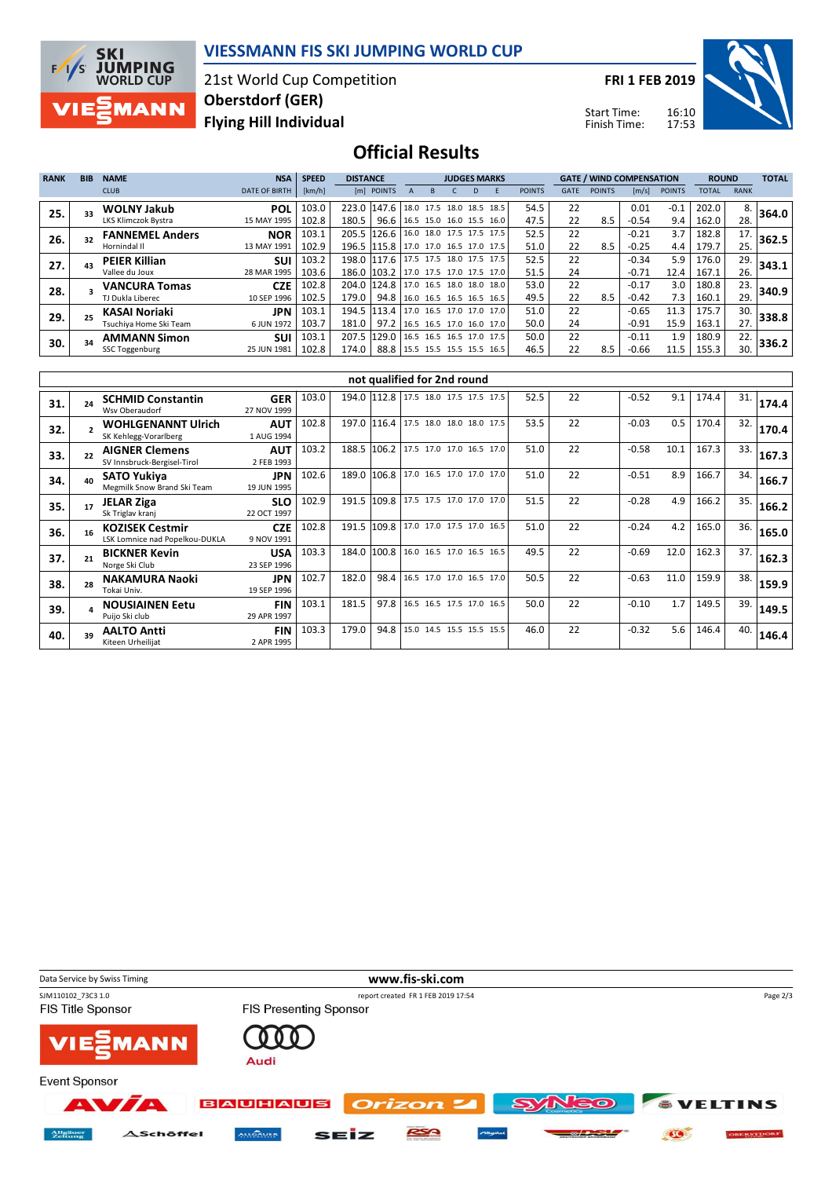

### **VIESSMANN FIS SKI JUMPING WORLD CUP**

21st World Cup Competition **Flying Hill Individual Oberstdorf (GER)**

**FRI 1 FEB 2019**

Start Time: Finish Time:



**Official Results**

| <b>RANK</b> | <b>BIB</b> | <b>NAME</b>            | <b>NSA</b>           | <b>SPEED</b> | <b>DISTANCE</b>                      |                                      |  |  | <b>JUDGES MARKS</b>      |               |             | <b>GATE / WIND COMPENSATION</b> |         |               | <b>ROUND</b> |             | <b>TOTAL</b> |
|-------------|------------|------------------------|----------------------|--------------|--------------------------------------|--------------------------------------|--|--|--------------------------|---------------|-------------|---------------------------------|---------|---------------|--------------|-------------|--------------|
|             |            | <b>CLUB</b>            | <b>DATE OF BIRTH</b> | [km/h]       |                                      | [m] POINTS                           |  |  |                          | <b>POINTS</b> | <b>GATE</b> | <b>POINTS</b>                   | [m/s]   | <b>POINTS</b> | <b>TOTAL</b> | <b>RANK</b> |              |
| 25.         |            | <b>WOLNY Jakub</b>     | <b>POL</b>           | 103.0        | 223.0 147.6 18.0 17.5 18.0 18.5 18.5 |                                      |  |  |                          | 54.5          | 22          |                                 | 0.01    | $-0.1$        | 202.0        | 8.          | 364.0        |
|             |            | LKS Klimczok Bystra    | 15 MAY 1995          | 102.8        | 180.5                                | 96.6   16.5 15.0 16.0 15.5 16.0      |  |  |                          | 47.5          | 22          | 8.5                             | $-0.54$ | 9.4           | 162.0        | 28.         |              |
| 26.         |            | <b>FANNEMEL Anders</b> | <b>NOR</b>           | 103.1        |                                      | 205.5 126.6 16.0 18.0 17.5 17.5 17.5 |  |  |                          | 52.5          | 22          |                                 | $-0.21$ | 3.7           | 182.8        | 17.         | 362.5        |
|             |            | Hornindal II           | 13 MAY 1991          | 102.9        |                                      | 196.5 115.8 17.0 17.0 16.5 17.0 17.5 |  |  |                          | 51.0          | 22          | 8.5                             | $-0.25$ | 4.4           | 179.7        | 25.         |              |
| 27.         |            | <b>PEIER Killian</b>   | <b>SUI</b>           | 103.2        |                                      | 198.0 117.6 17.5 17.5 18.0 17.5 17.5 |  |  |                          | 52.5          | 22          |                                 | $-0.34$ | 5.9           | 176.0        | 29.         | 343.1        |
|             |            | Vallee du Joux         | 28 MAR 1995          | 103.6        |                                      | 186.0 103.2 17.0 17.5 17.0 17.5 17.0 |  |  |                          | 51.5          | 24          |                                 | $-0.71$ | 12.4          | 167.1        | 26.         |              |
| 28.         |            | <b>VANCURA Tomas</b>   | <b>CZE</b>           | 102.8        |                                      | 204.0 124.8 17.0 16.5 18.0 18.0 18.0 |  |  |                          | 53.0          | 22          |                                 | $-0.17$ | 3.0           | 180.8        | 23.         | 340.9        |
|             |            | TJ Dukla Liberec       | 10 SEP 1996          | 102.5        | 179.0                                | 94.8 16.0 16.5 16.5 16.5 16.5        |  |  |                          | 49.5          | 22          | 8.5                             | $-0.42$ | 7.3           | 160.1        | 29.         |              |
| 29.         |            | KASAI Noriaki          | JPN                  | 103.1        |                                      | 194.5 113.4 17.0 16.5 17.0 17.0 17.0 |  |  |                          | 51.0          | 22          |                                 | $-0.65$ | 11.3          | 175.7        | 30.         | 338.8        |
|             |            | Tsuchiya Home Ski Team | 6 JUN 1972           | 103.7        | 181.0                                | 97.2                                 |  |  | 16.5 16.5 17.0 16.0 17.0 | 50.0          | 24          |                                 | $-0.91$ | 15.9          | 163.1        | 27.         |              |
| 30.         |            | <b>AMMANN Simon</b>    | <b>SUI</b>           | 103.1        | 207.5                                | 129.0   16.5 16.5 16.5 17.0 17.5     |  |  |                          | 50.0          | 22          |                                 | $-0.11$ | 1.9           | 180.9        | 22.         | 336.2        |
|             |            | <b>SSC Toggenburg</b>  | 25 JUN 1981          | 102.8        | 174.0                                | 88.8   15.5 15.5 15.5 15.5 16.5      |  |  |                          | 46.5          | 22          | 8.5                             | $-0.66$ | 11.5          | 155.3        | 30.         |              |

|     | not qualified for 2nd round |                                                          |                           |       |       |                                      |                          |  |  |                          |      |    |         |      |       |     |       |
|-----|-----------------------------|----------------------------------------------------------|---------------------------|-------|-------|--------------------------------------|--------------------------|--|--|--------------------------|------|----|---------|------|-------|-----|-------|
| 31. |                             | <b>SCHMID Constantin</b><br>Wsy Oberaudorf               | <b>GER</b><br>27 NOV 1999 | 103.0 |       | 194.0 112.8 17.5 18.0 17.5 17.5 17.5 |                          |  |  |                          | 52.5 | 22 | $-0.52$ | 9.1  | 174.4 | 31. | 174.4 |
| 32. |                             | <b>WOHLGENANNT Ulrich</b><br>SK Kehlegg-Vorarlberg       | <b>AUT</b><br>1 AUG 1994  | 102.8 |       | 197.0 116.4                          | 17.5 18.0 18.0 18.0 17.5 |  |  |                          | 53.5 | 22 | $-0.03$ | 0.5  | 170.4 | 32. | 170.4 |
| 33. |                             | <b>AIGNER Clemens</b><br>SV Innsbruck-Bergisel-Tirol     | <b>AUT</b><br>2 FEB 1993  | 103.2 | 188.5 | 106.2                                |                          |  |  | 17.5 17.0 17.0 16.5 17.0 | 51.0 | 22 | $-0.58$ | 10.1 | 167.3 | 33. | 167.3 |
| 34. | 4Ω                          | <b>SATO Yukiya</b><br>Megmilk Snow Brand Ski Team        | <b>JPN</b><br>19 JUN 1995 | 102.6 |       | 189.0 106.8 17.0 16.5 17.0 17.0 17.0 |                          |  |  |                          | 51.0 | 22 | $-0.51$ | 8.9  | 166.7 | 34. | 166.7 |
| 35. |                             | <b>JELAR Ziga</b><br>Sk Triglav kranj                    | <b>SLO</b><br>22 OCT 1997 | 102.9 |       | 191.5 109.8 17.5 17.5 17.0 17.0 17.0 |                          |  |  |                          | 51.5 | 22 | $-0.28$ | 4.9  | 166.2 | 35. | 166.2 |
| 36. |                             | <b>KOZISEK Cestmir</b><br>LSK Lomnice nad Popelkou-DUKLA | <b>CZE</b><br>9 NOV 1991  | 102.8 |       | 191.5 109.8 17.0 17.0 17.5 17.0 16.5 |                          |  |  |                          | 51.0 | 22 | $-0.24$ | 4.2  | 165.0 | 36. | 165.0 |
| 37. |                             | <b>BICKNER Kevin</b><br>Norge Ski Club                   | <b>USA</b><br>23 SEP 1996 | 103.3 | 184.0 | 100.8                                |                          |  |  | 16.0 16.5 17.0 16.5 16.5 | 49.5 | 22 | $-0.69$ | 12.0 | 162.3 | 37. | 162.3 |
| 38. |                             | NAKAMURA Naoki<br>Tokai Univ.                            | <b>JPN</b><br>19 SEP 1996 | 102.7 | 182.0 | 98.4                                 |                          |  |  | 16.5 17.0 17.0 16.5 17.0 | 50.5 | 22 | $-0.63$ | 11.0 | 159.9 | 38. | 159.9 |
| 39. |                             | <b>NOUSIAINEN Eetu</b><br>Puijo Ski club                 | <b>FIN</b><br>29 APR 1997 | 103.1 | 181.5 | 97.8                                 | 16.5 16.5 17.5 17.0      |  |  | 16.5                     | 50.0 | 22 | $-0.10$ | 1.7  | 149.5 | 39. | 149.5 |
| 40. |                             | <b>AALTO Antti</b><br>Kiteen Urheilijat                  | <b>FIN</b><br>2 APR 1995  | 103.3 | 179.0 | 94.8                                 |                          |  |  | 15.0 14.5 15.5 15.5 15.5 | 46.0 | 22 | $-0.32$ | 5.6  | 146.4 | 40. | 146.4 |